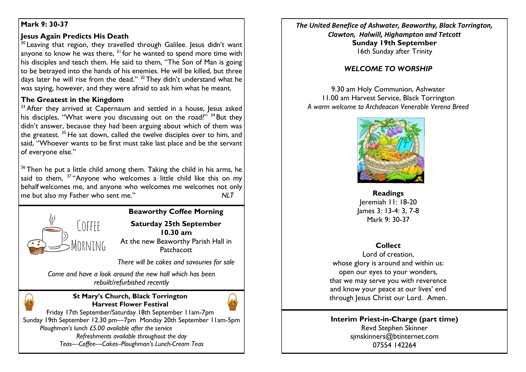## **Mark 9: 30-37**

## **Jesus Again Predicts His Death**

 $30$  Leaving that region, they travelled through Galilee. Jesus didn't want anyone to know he was there,  $3^{1}$  for he wanted to spend more time with his disciples and teach them. He said to them, "The Son of Man is going to be betrayed into the hands of his enemies. He will be killed, but three days later he will rise from the dead."  $32$  They didn't understand what he was saying, however, and they were afraid to ask him what he meant.

## **The Greatest in the Kingdom**

 $33$  After they arrived at Capernaum and settled in a house, lesus asked his disciples, "What were you discussing out on the road?"  $34$  But they didn't answer, because they had been arguing about which of them was the greatest.  $35$  He sat down, called the twelve disciples over to him, and said, "Whoever wants to be first must take last place and be the servant of everyone else."

 $36$  Then he put a little child among them. Taking the child in his arms, he said to them, <sup>37</sup> "Anyone who welcomes a little child like this on my behalf welcomes me, and anyone who welcomes me welcomes not only me but also my Father who sent me." *NLT*



**Beaworthy Coffee Morning**

**Saturday 25th September 10.30 am** At the new Beaworthy Parish Hall in Patchacott

*There will be cakes and savouries for sale*

*Come and have a look around the new hall which has been rebuilt/refurbished recently*



**St Mary's Church, Black Torrington Harvest Flower Festival**



Friday 17th September/Saturday 18th September 11am-7pm Sunday 19th September 12.30 pm—7pm Monday 20th September 11am-5pm  *Ploughman's lunch £5.00 available after the service Refreshments available throughout the day Teas—Coffee—Cakes–Ploughman's Lunch-Cream Teas*

*The United Benefice of Ashwater, Beaworthy, Black Torrington, Clawton, Halwill, Highampton and Tetcott* **Sunday 19th September** 16th Sunday after Trinity

# *WELCOME TO WORSHIP*

9.30 am Holy Communion, Ashwater 11.00 am Harvest Service, Black Torrington *A warm welcome to Archdeacon Venerable Verena Breed*



**Readings** Jeremiah 11: 18-20 James 3: 13-4: 3, 7-8 Mark 9: 30-37

# **Collect**

Lord of creation, whose glory is around and within us: open our eyes to your wonders, that we may serve you with reverence and know your peace at our lives' end through Jesus Christ our Lord. Amen.

### **Interim Priest-in-Charge (part time)** Revd Stephen Skinner [sjmskinners@btinternet.com](mailto:sjmskinners@btinternet.com) 07554 142264